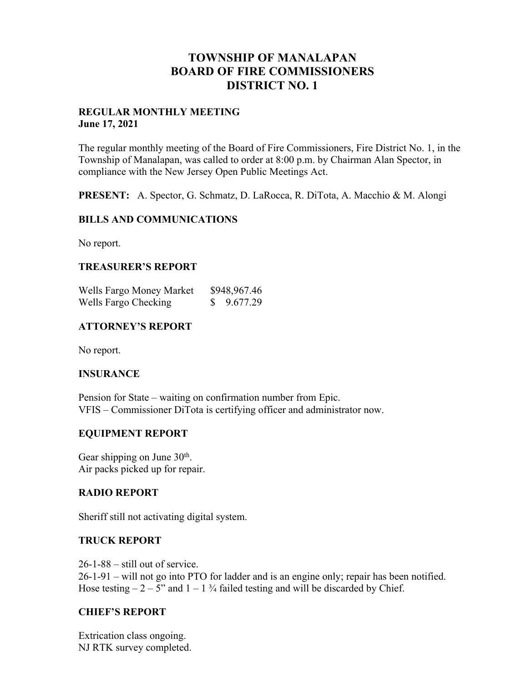## **TOWNSHIP OF MANALAPAN BOARD OF FIRE COMMISSIONERS DISTRICT NO. 1**

#### **REGULAR MONTHLY MEETING June 17, 2021**

The regular monthly meeting of the Board of Fire Commissioners, Fire District No. 1, in the Township of Manalapan, was called to order at 8:00 p.m. by Chairman Alan Spector, in compliance with the New Jersey Open Public Meetings Act.

**PRESENT:** A. Spector, G. Schmatz, D. LaRocca, R. DiTota, A. Macchio & M. Alongi

### **BILLS AND COMMUNICATIONS**

No report.

## **TREASURER'S REPORT**

Wells Fargo Money Market \$948,967.46 Wells Fargo Checking  $$ 9.677.29$ 

## **ATTORNEY'S REPORT**

No report.

### **INSURANCE**

Pension for State – waiting on confirmation number from Epic. VFIS – Commissioner DiTota is certifying officer and administrator now.

### **EQUIPMENT REPORT**

Gear shipping on June 30<sup>th</sup>. Air packs picked up for repair.

### **RADIO REPORT**

Sheriff still not activating digital system.

## **TRUCK REPORT**

26-1-88 – still out of service. 26-1-91 – will not go into PTO for ladder and is an engine only; repair has been notified. Hose testing  $-2 - 5$ " and  $1 - 1\frac{3}{4}$  failed testing and will be discarded by Chief.

## **CHIEF'S REPORT**

Extrication class ongoing. NJ RTK survey completed.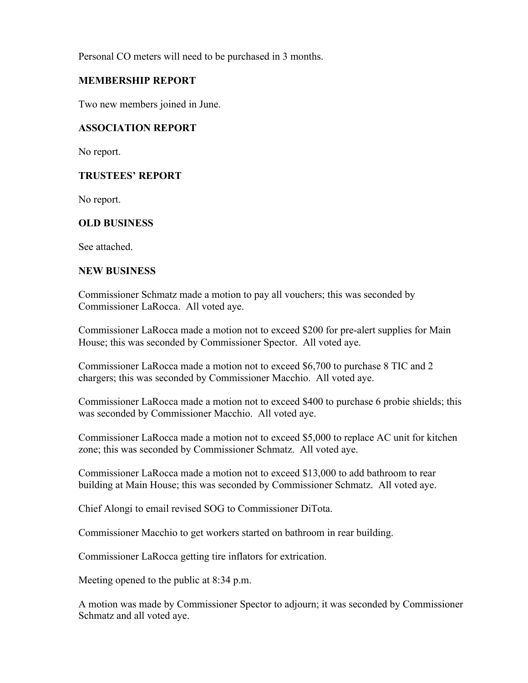Personal CO meters will need to be purchased in 3 months.

## **MEMBERSHIP REPORT**

Two new members joined in June.

#### **ASSOCIATION REPORT**

No report.

### **TRUSTEES' REPORT**

No report.

## **OLD BUSINESS**

See attached.

### **NEW BUSINESS**

Commissioner Schmatz made a motion to pay all vouchers; this was seconded by Commissioner LaRocca. All voted aye.

Commissioner LaRocca made a motion not to exceed \$200 for pre-alert supplies for Main House; this was seconded by Commissioner Spector. All voted aye.

Commissioner LaRocca made a motion not to exceed \$6,700 to purchase 8 TIC and 2 chargers; this was seconded by Commissioner Macchio. All voted aye.

Commissioner LaRocca made a motion not to exceed \$400 to purchase 6 probie shields; this was seconded by Commissioner Macchio. All voted aye.

Commissioner LaRocca made a motion not to exceed \$5,000 to replace AC unit for kitchen zone; this was seconded by Commissioner Schmatz. All voted aye.

Commissioner LaRocca made a motion not to exceed \$13,000 to add bathroom to rear building at Main House; this was seconded by Commissioner Schmatz. All voted aye.

Chief Alongi to email revised SOG to Commissioner DiTota.

Commissioner Macchio to get workers started on bathroom in rear building.

Commissioner LaRocca getting tire inflators for extrication.

Meeting opened to the public at 8:34 p.m.

A motion was made by Commissioner Spector to adjourn; it was seconded by Commissioner Schmatz and all voted aye.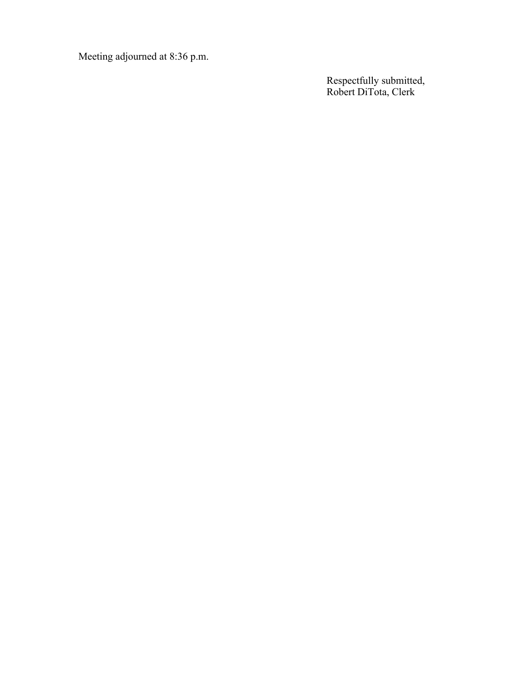Meeting adjourned at 8:36 p.m.

Respectfully submitted, Robert DiTota, Clerk